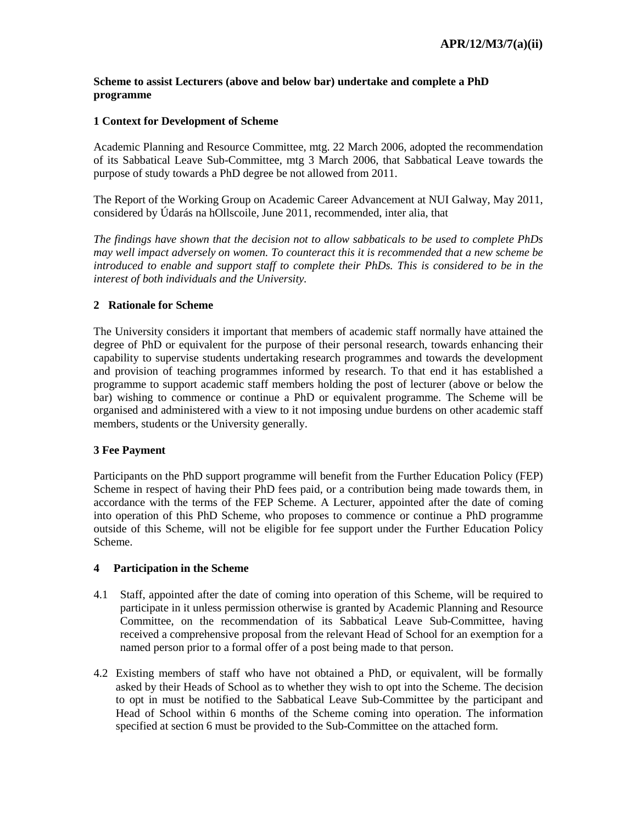#### **Scheme to assist Lecturers (above and below bar) undertake and complete a PhD programme**

### **1 Context for Development of Scheme**

Academic Planning and Resource Committee, mtg. 22 March 2006, adopted the recommendation of its Sabbatical Leave Sub-Committee, mtg 3 March 2006, that Sabbatical Leave towards the purpose of study towards a PhD degree be not allowed from 2011.

The Report of the Working Group on Academic Career Advancement at NUI Galway, May 2011, considered by Údarás na hOllscoile, June 2011, recommended, inter alia, that

*The findings have shown that the decision not to allow sabbaticals to be used to complete PhDs may well impact adversely on women. To counteract this it is recommended that a new scheme be introduced to enable and support staff to complete their PhDs. This is considered to be in the interest of both individuals and the University.*

### **2 Rationale for Scheme**

The University considers it important that members of academic staff normally have attained the degree of PhD or equivalent for the purpose of their personal research, towards enhancing their capability to supervise students undertaking research programmes and towards the development and provision of teaching programmes informed by research. To that end it has established a programme to support academic staff members holding the post of lecturer (above or below the bar) wishing to commence or continue a PhD or equivalent programme. The Scheme will be organised and administered with a view to it not imposing undue burdens on other academic staff members, students or the University generally.

### **3 Fee Payment**

Participants on the PhD support programme will benefit from the Further Education Policy (FEP) Scheme in respect of having their PhD fees paid, or a contribution being made towards them, in accordance with the terms of the FEP Scheme. A Lecturer, appointed after the date of coming into operation of this PhD Scheme, who proposes to commence or continue a PhD programme outside of this Scheme, will not be eligible for fee support under the Further Education Policy Scheme.

### **4 Participation in the Scheme**

- 4.1 Staff, appointed after the date of coming into operation of this Scheme, will be required to participate in it unless permission otherwise is granted by Academic Planning and Resource Committee, on the recommendation of its Sabbatical Leave Sub-Committee, having received a comprehensive proposal from the relevant Head of School for an exemption for a named person prior to a formal offer of a post being made to that person.
- 4.2 Existing members of staff who have not obtained a PhD, or equivalent, will be formally asked by their Heads of School as to whether they wish to opt into the Scheme. The decision to opt in must be notified to the Sabbatical Leave Sub-Committee by the participant and Head of School within 6 months of the Scheme coming into operation. The information specified at section 6 must be provided to the Sub-Committee on the attached form.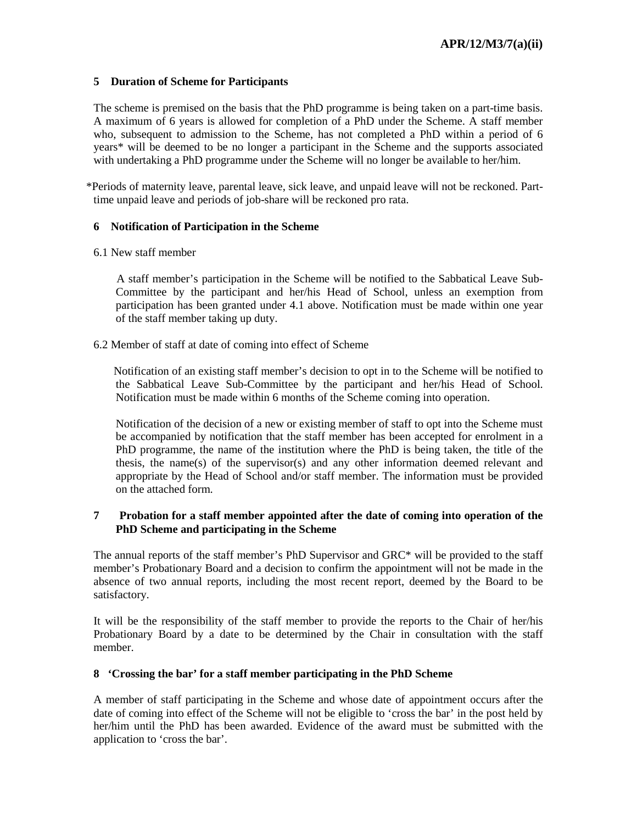### **5 Duration of Scheme for Participants**

The scheme is premised on the basis that the PhD programme is being taken on a part-time basis. A maximum of 6 years is allowed for completion of a PhD under the Scheme. A staff member who, subsequent to admission to the Scheme, has not completed a PhD within a period of 6 years\* will be deemed to be no longer a participant in the Scheme and the supports associated with undertaking a PhD programme under the Scheme will no longer be available to her/him.

\*Periods of maternity leave, parental leave, sick leave, and unpaid leave will not be reckoned. Parttime unpaid leave and periods of job-share will be reckoned pro rata.

## **6 Notification of Participation in the Scheme**

6.1 New staff member

 A staff member's participation in the Scheme will be notified to the Sabbatical Leave Sub-Committee by the participant and her/his Head of School, unless an exemption from participation has been granted under 4.1 above. Notification must be made within one year of the staff member taking up duty.

6.2 Member of staff at date of coming into effect of Scheme

 Notification of an existing staff member's decision to opt in to the Scheme will be notified to the Sabbatical Leave Sub-Committee by the participant and her/his Head of School. Notification must be made within 6 months of the Scheme coming into operation.

Notification of the decision of a new or existing member of staff to opt into the Scheme must be accompanied by notification that the staff member has been accepted for enrolment in a PhD programme, the name of the institution where the PhD is being taken, the title of the thesis, the name(s) of the supervisor(s) and any other information deemed relevant and appropriate by the Head of School and/or staff member. The information must be provided on the attached form.

# **7 Probation for a staff member appointed after the date of coming into operation of the PhD Scheme and participating in the Scheme**

The annual reports of the staff member's PhD Supervisor and GRC\* will be provided to the staff member's Probationary Board and a decision to confirm the appointment will not be made in the absence of two annual reports, including the most recent report, deemed by the Board to be satisfactory.

It will be the responsibility of the staff member to provide the reports to the Chair of her/his Probationary Board by a date to be determined by the Chair in consultation with the staff member.

# **8 'Crossing the bar' for a staff member participating in the PhD Scheme**

A member of staff participating in the Scheme and whose date of appointment occurs after the date of coming into effect of the Scheme will not be eligible to 'cross the bar' in the post held by her/him until the PhD has been awarded. Evidence of the award must be submitted with the application to 'cross the bar'.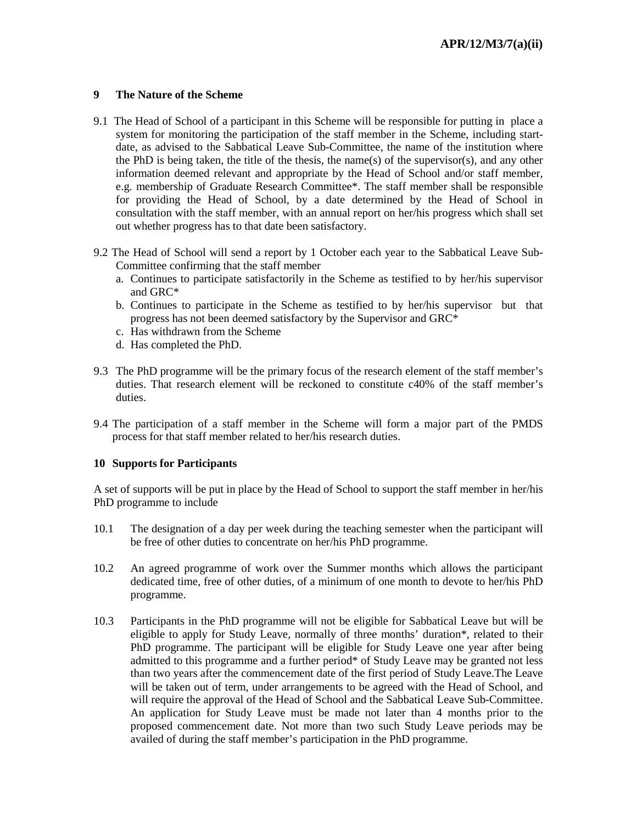## **9 The Nature of the Scheme**

- 9.1 The Head of School of a participant in this Scheme will be responsible for putting in place a system for monitoring the participation of the staff member in the Scheme, including startdate, as advised to the Sabbatical Leave Sub-Committee, the name of the institution where the PhD is being taken, the title of the thesis, the name(s) of the supervisor(s), and any other information deemed relevant and appropriate by the Head of School and/or staff member, e.g. membership of Graduate Research Committee\*. The staff member shall be responsible for providing the Head of School, by a date determined by the Head of School in consultation with the staff member, with an annual report on her/his progress which shall set out whether progress has to that date been satisfactory.
- 9.2 The Head of School will send a report by 1 October each year to the Sabbatical Leave Sub-Committee confirming that the staff member
	- a. Continues to participate satisfactorily in the Scheme as testified to by her/his supervisor and GRC\*
	- b. Continues to participate in the Scheme as testified to by her/his supervisor but that progress has not been deemed satisfactory by the Supervisor and GRC\*
	- c. Has withdrawn from the Scheme
	- d. Has completed the PhD.
- 9.3 The PhD programme will be the primary focus of the research element of the staff member's duties. That research element will be reckoned to constitute c40% of the staff member's duties.
- 9.4 The participation of a staff member in the Scheme will form a major part of the PMDS process for that staff member related to her/his research duties.

### **10 Supports for Participants**

A set of supports will be put in place by the Head of School to support the staff member in her/his PhD programme to include

- 10.1 The designation of a day per week during the teaching semester when the participant will be free of other duties to concentrate on her/his PhD programme.
- 10.2 An agreed programme of work over the Summer months which allows the participant dedicated time, free of other duties, of a minimum of one month to devote to her/his PhD programme.
- 10.3 Participants in the PhD programme will not be eligible for Sabbatical Leave but will be eligible to apply for Study Leave, normally of three months' duration\*, related to their PhD programme. The participant will be eligible for Study Leave one year after being admitted to this programme and a further period\* of Study Leave may be granted not less than two years after the commencement date of the first period of Study Leave.The Leave will be taken out of term, under arrangements to be agreed with the Head of School, and will require the approval of the Head of School and the Sabbatical Leave Sub-Committee. An application for Study Leave must be made not later than 4 months prior to the proposed commencement date. Not more than two such Study Leave periods may be availed of during the staff member's participation in the PhD programme.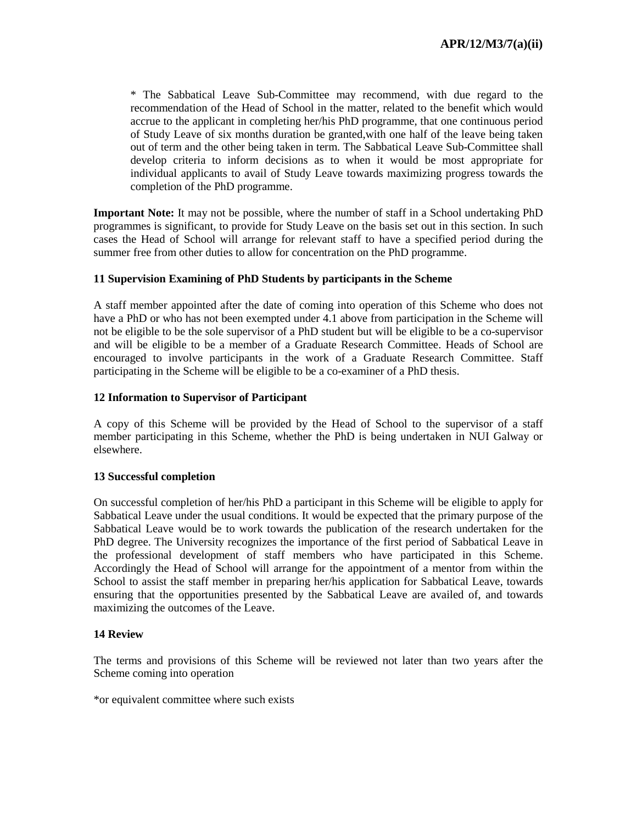\* The Sabbatical Leave Sub-Committee may recommend, with due regard to the recommendation of the Head of School in the matter, related to the benefit which would accrue to the applicant in completing her/his PhD programme, that one continuous period of Study Leave of six months duration be granted,with one half of the leave being taken out of term and the other being taken in term. The Sabbatical Leave Sub-Committee shall develop criteria to inform decisions as to when it would be most appropriate for individual applicants to avail of Study Leave towards maximizing progress towards the completion of the PhD programme.

**Important Note:** It may not be possible, where the number of staff in a School undertaking PhD programmes is significant, to provide for Study Leave on the basis set out in this section. In such cases the Head of School will arrange for relevant staff to have a specified period during the summer free from other duties to allow for concentration on the PhD programme.

### **11 Supervision Examining of PhD Students by participants in the Scheme**

A staff member appointed after the date of coming into operation of this Scheme who does not have a PhD or who has not been exempted under 4.1 above from participation in the Scheme will not be eligible to be the sole supervisor of a PhD student but will be eligible to be a co-supervisor and will be eligible to be a member of a Graduate Research Committee. Heads of School are encouraged to involve participants in the work of a Graduate Research Committee. Staff participating in the Scheme will be eligible to be a co-examiner of a PhD thesis.

## **12 Information to Supervisor of Participant**

A copy of this Scheme will be provided by the Head of School to the supervisor of a staff member participating in this Scheme, whether the PhD is being undertaken in NUI Galway or elsewhere.

### **13 Successful completion**

On successful completion of her/his PhD a participant in this Scheme will be eligible to apply for Sabbatical Leave under the usual conditions. It would be expected that the primary purpose of the Sabbatical Leave would be to work towards the publication of the research undertaken for the PhD degree. The University recognizes the importance of the first period of Sabbatical Leave in the professional development of staff members who have participated in this Scheme. Accordingly the Head of School will arrange for the appointment of a mentor from within the School to assist the staff member in preparing her/his application for Sabbatical Leave, towards ensuring that the opportunities presented by the Sabbatical Leave are availed of, and towards maximizing the outcomes of the Leave.

### **14 Review**

The terms and provisions of this Scheme will be reviewed not later than two years after the Scheme coming into operation

\*or equivalent committee where such exists